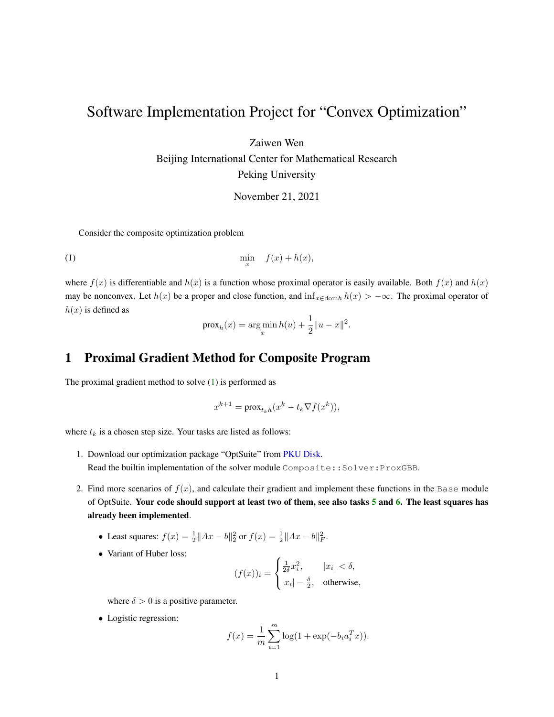## Software Implementation Project for "Convex Optimization"

Zaiwen Wen

Beijing International Center for Mathematical Research Peking University

<span id="page-0-0"></span>November 21, 2021

Consider the composite optimization problem

$$
\min_{x} \quad f(x) + h(x),
$$

where  $f(x)$  is differentiable and  $h(x)$  is a function whose proximal operator is easily available. Both  $f(x)$  and  $h(x)$ may be nonconvex. Let  $h(x)$  be a proper and close function, and  $\inf_{x \in \text{dom } h} h(x) > -\infty$ . The proximal operator of  $h(x)$  is defined as

$$
prox_h(x) = arg min_{x} h(u) + \frac{1}{2} ||u - x||^2.
$$

## 1 Proximal Gradient Method for Composite Program

The proximal gradient method to solve [\(1\)](#page-0-0) is performed as

$$
x^{k+1} = \text{prox}_{t_k h}(x^k - t_k \nabla f(x^k)),
$$

where  $t_k$  is a chosen step size. Your tasks are listed as follows:

- 1. Download our optimization package "OptSuite" from [PKU Disk.](https://disk.pku.edu.cn:443/link/A7BC827C66E833CA58CDB77D5048E7EE) Read the builtin implementation of the solver module Composite::Solver:ProxGBB.
- 2. Find more scenarios of  $f(x)$ , and calculate their gradient and implement these functions in the Base module of OptSuite. Your code should support at least two of them, see also tasks [5](#page-1-0) and [6.](#page-2-0) The least squares has already been implemented.
	- Least squares:  $f(x) = \frac{1}{2} ||Ax b||_2^2$  or  $f(x) = \frac{1}{2} ||Ax b||_F^2$ .
	- Variant of Huber loss:

$$
(f(x))_i = \begin{cases} \frac{1}{2\delta}x_i^2, & |x_i| < \delta, \\ |x_i| - \frac{\delta}{2}, & \text{otherwise,} \end{cases}
$$

where  $\delta > 0$  is a positive parameter.

• Logistic regression:

$$
f(x) = \frac{1}{m} \sum_{i=1}^{m} \log(1 + \exp(-b_i a_i^T x)).
$$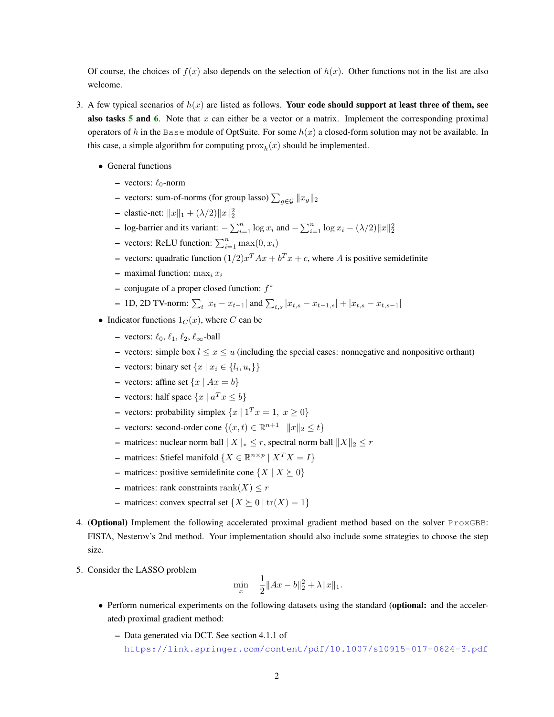Of course, the choices of  $f(x)$  also depends on the selection of  $h(x)$ . Other functions not in the list are also welcome.

- 3. A few typical scenarios of  $h(x)$  are listed as follows. Your code should support at least three of them, see also tasks  $5$  and  $6$ . Note that x can either be a vector or a matrix. Implement the corresponding proximal operators of h in the Base module of OptSuite. For some  $h(x)$  a closed-form solution may not be available. In this case, a simple algorithm for computing  $prox<sub>h</sub>(x)$  should be implemented.
	- General functions
		- vectors:  $\ell_0$ -norm
		- vectors: sum-of-norms (for group lasso)  $\sum_{g \in \mathcal{G}} ||x_g||_2$
		- elastic-net:  $||x||_1 + (\lambda/2)||x||_2^2$
		- log-barrier and its variant:  $-\sum_{i=1}^{n} \log x_i$  and  $-\sum_{i=1}^{n} \log x_i (\lambda/2) ||x||_2^2$
		- vectors: ReLU function:  $\sum_{i=1}^{n} \max(0, x_i)$
		- vectors: quadratic function  $(1/2)x^T Ax + b^T x + c$ , where A is positive semidefinite
		- maximal function:  $\max_i x_i$
		- $-$  conjugate of a proper closed function:  $f^*$
		- − 1D, 2D TV-norm:  $\sum_{t} |x_t x_{t-1}|$  and  $\sum_{t,s} |x_{t,s} x_{t-1,s}| + |x_{t,s} x_{t,s-1}|$
	- Indicator functions  $1<sub>C</sub>(x)$ , where C can be
		- vectors:  $\ell_0, \ell_1, \ell_2, \ell_\infty$ -ball
		- vectors: simple box  $l \leq x \leq u$  (including the special cases: nonnegative and nonpositive orthant)
		- vectors: binary set  $\{x \mid x_i \in \{l_i, u_i\}\}\$
		- vectors: affine set  $\{x \mid Ax = b\}$
		- vectors: half space  $\{x \mid a^T x \leq b\}$
		- vectors: probability simplex  $\{x \mid 1^T x = 1, x \ge 0\}$
		- vectors: second-order cone { $(x,t) \in \mathbb{R}^{n+1} \mid ||x||_2 \le t$ }
		- matrices: nuclear norm ball  $||X||_* \leq r$ , spectral norm ball  $||X||_2 \leq r$
		- − matrices: Stiefel manifold { $X \in \mathbb{R}^{n \times p}$  |  $X^T X = I$ }
		- matrices: positive semidefinite cone  $\{X \mid X \succeq 0\}$
		- matrices: rank constraints rank $(X) \leq r$
		- matrices: convex spectral set  $\{X \succeq 0 \mid \text{tr}(X) = 1\}$
- 4. (Optional) Implement the following accelerated proximal gradient method based on the solver ProxGBB: FISTA, Nesterov's 2nd method. Your implementation should also include some strategies to choose the step size.
- <span id="page-1-0"></span>5. Consider the LASSO problem

$$
\min_{x} \quad \frac{1}{2} \|Ax - b\|_2^2 + \lambda \|x\|_1.
$$

- Perform numerical experiments on the following datasets using the standard (optional: and the accelerated) proximal gradient method:
	- Data generated via DCT. See section 4.1.1 of <https://link.springer.com/content/pdf/10.1007/s10915-017-0624-3.pdf>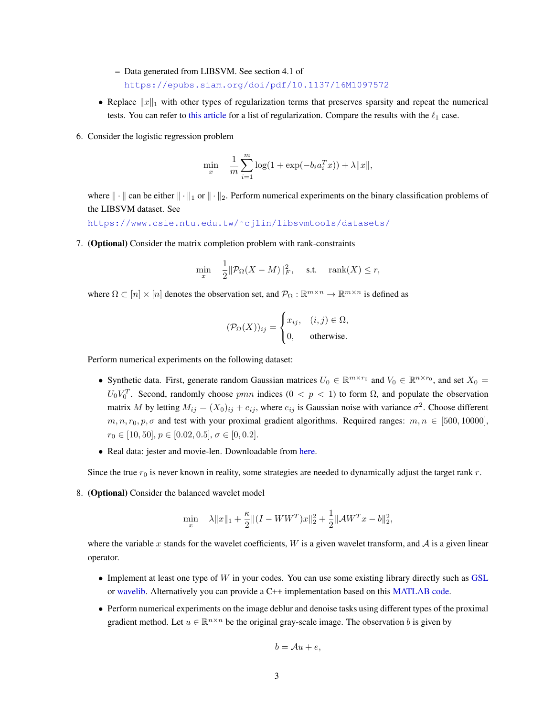- Data generated from LIBSVM. See section 4.1 of <https://epubs.siam.org/doi/pdf/10.1137/16M1097572>
- Replace  $||x||_1$  with other types of regularization terms that preserves sparsity and repeat the numerical tests. You can refer to [this article](https://arxiv.org/pdf/1808.05403.pdf) for a list of regularization. Compare the results with the  $\ell_1$  case.
- <span id="page-2-0"></span>6. Consider the logistic regression problem

$$
\min_{x} \quad \frac{1}{m} \sum_{i=1}^{m} \log(1 + \exp(-b_i a_i^T x)) + \lambda ||x||,
$$

where  $\|\cdot\|$  can be either  $\|\cdot\|_1$  or  $\|\cdot\|_2$ . Perform numerical experiments on the binary classification problems of the LIBSVM dataset. See

[https://www.csie.ntu.edu.tw/˜cjlin/libsvmtools/datasets/](https://www.csie.ntu.edu.tw/~cjlin/libsvmtools/datasets/)

7. (Optional) Consider the matrix completion problem with rank-constraints

$$
\min_{x} \quad \frac{1}{2} \|\mathcal{P}_{\Omega}(X - M)\|_{F}^{2}, \quad \text{s.t.} \quad \text{rank}(X) \le r,
$$

where  $\Omega \subset [n] \times [n]$  denotes the observation set, and  $\mathcal{P}_{\Omega} : \mathbb{R}^{m \times n} \to \mathbb{R}^{m \times n}$  is defined as

$$
(\mathcal{P}_{\Omega}(X))_{ij} = \begin{cases} x_{ij}, & (i,j) \in \Omega, \\ 0, & \text{otherwise.} \end{cases}
$$

Perform numerical experiments on the following dataset:

- Synthetic data. First, generate random Gaussian matrices  $U_0 \in \mathbb{R}^{m \times r_0}$  and  $V_0 \in \mathbb{R}^{n \times r_0}$ , and set  $X_0 =$  $U_0 V_0^T$ . Second, randomly choose pmn indices  $(0 < p < 1)$  to form  $\Omega$ , and populate the observation matrix M by letting  $M_{ij} = (X_0)_{ij} + e_{ij}$ , where  $e_{ij}$  is Gaussian noise with variance  $\sigma^2$ . Choose different  $m, n, r_0, p, \sigma$  and test with your proximal gradient algorithms. Required ranges:  $m, n \in [500, 10000]$ ,  $r_0 \in [10, 50], p \in [0.02, 0.5], \sigma \in [0, 0.2].$
- Real data: jester and movie-len. Downloadable from [here.](https://disk.pku.edu.cn:443/link/8883EC8EDB6C80DA9EB2996B1D2E3328)

Since the true  $r_0$  is never known in reality, some strategies are needed to dynamically adjust the target rank r.

8. (Optional) Consider the balanced wavelet model

$$
\min_{x} \quad \lambda \|x\|_1 + \frac{\kappa}{2} \| (I - W W^{T}) x \|_2^2 + \frac{1}{2} \|A W^{T} x - b\|_2^2,
$$

where the variable x stands for the wavelet coefficients,  $W$  is a given wavelet transform, and  $A$  is a given linear operator.

- Implement at least one type of  $W$  in your codes. You can use some existing library directly such as [GSL](https://www.gnu.org/software/gsl/doc/html/dwt.html) or [wavelib.](https://github.com/rafat/wavelib) Alternatively you can provide a C++ implementation based on this [MATLAB code.](http://bicmr.pku.edu.cn/~dongbin/Teaching_files/%E5%9B%BE%E5%83%8F%E5%A4%84%E7%90%86%E4%B8%AD%E7%9A%84%E6%95%B0%E5%AD%A6%E6%96%B9%E6%B3%95/ClassMaterials/2DTWFT.zip)
- Perform numerical experiments on the image deblur and denoise tasks using different types of the proximal gradient method. Let  $u \in \mathbb{R}^{n \times n}$  be the original gray-scale image. The observation b is given by

$$
b = \mathcal{A}u + e,
$$